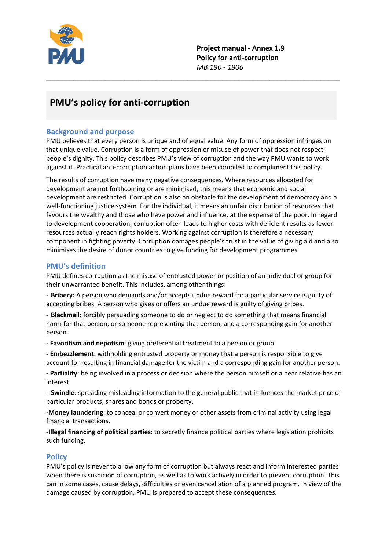

Project manual - Annex 1.9 Policy for anti-corruption *MB 190 - 1906*

# PMU's policy for anti-corruption

## Background and purpose

PMU believes that every person is unique and of equal value. Any form of oppression infringes on that unique value. Corruption is a form of oppression or misuse of power that does not respect people's dignity. This policy describes PMU's view of corruption and the way PMU wants to work against it. Practical anti-corruption action plans have been compiled to compliment this policy.

\_\_\_\_\_\_\_\_\_\_\_\_\_\_\_\_\_\_\_\_\_\_\_\_\_\_\_\_\_\_\_\_\_\_\_\_\_\_\_\_\_\_\_\_\_\_\_\_\_\_\_\_\_\_\_\_\_\_\_\_\_\_\_\_\_\_\_\_\_\_\_\_\_\_\_

The results of corruption have many negative consequences. Where resources allocated for development are not forthcoming or are minimised, this means that economic and social development are restricted. Corruption is also an obstacle for the development of democracy and a well-functioning justice system. For the individual, it means an unfair distribution of resources that favours the wealthy and those who have power and influence, at the expense of the poor. In regard to development cooperation, corruption often leads to higher costs with deficient results as fewer resources actually reach rights holders. Working against corruption is therefore a necessary component in fighting poverty. Corruption damages people's trust in the value of giving aid and also minimises the desire of donor countries to give funding for development programmes.

## PMU's definition

PMU defines corruption as the misuse of entrusted power or position of an individual or group for their unwarranted benefit. This includes, among other things:

- Bribery: A person who demands and/or accepts undue reward for a particular service is guilty of accepting bribes. A person who gives or offers an undue reward is guilty of giving bribes.

- Blackmail: forcibly persuading someone to do or neglect to do something that means financial harm for that person, or someone representing that person, and a corresponding gain for another person.

- Favoritism and nepotism: giving preferential treatment to a person or group.

- Embezzlement: withholding entrusted property or money that a person is responsible to give account for resulting in financial damage for the victim and a corresponding gain for another person.

- Partiality: being involved in a process or decision where the person himself or a near relative has an interest.

- Swindle: spreading misleading information to the general public that influences the market price of particular products, shares and bonds or property.

-Money laundering: to conceal or convert money or other assets from criminal activity using legal financial transactions.

-Illegal financing of political parties: to secretly finance political parties where legislation prohibits such funding.

## **Policy**

PMU's policy is never to allow any form of corruption but always react and inform interested parties when there is suspicion of corruption, as well as to work actively in order to prevent corruption. This can in some cases, cause delays, difficulties or even cancellation of a planned program. In view of the damage caused by corruption, PMU is prepared to accept these consequences.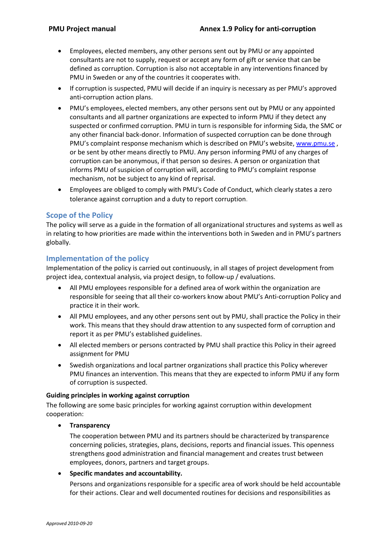- Employees, elected members, any other persons sent out by PMU or any appointed consultants are not to supply, request or accept any form of gift or service that can be defined as corruption. Corruption is also not acceptable in any interventions financed by PMU in Sweden or any of the countries it cooperates with.
- If corruption is suspected, PMU will decide if an inquiry is necessary as per PMU's approved anti-corruption action plans.
- PMU's employees, elected members, any other persons sent out by PMU or any appointed consultants and all partner organizations are expected to inform PMU if they detect any suspected or confirmed corruption. PMU in turn is responsible for informing Sida, the SMC or any other financial back-donor. Information of suspected corruption can be done through PMU's complaint response mechanism which is described on PMU's website, [www.pmu.se](http://www.pmu.se/) , or be sent by other means directly to PMU. Any person informing PMU of any charges of corruption can be anonymous, if that person so desires. A person or organization that informs PMU of suspicion of corruption will, according to PMU's complaint response mechanism, not be subject to any kind of reprisal.
- Employees are obliged to comply with PMU's Code of Conduct, which clearly states a zero tolerance against corruption and a duty to report corruption.

## Scope of the Policy

The policy will serve as a guide in the formation of all organizational structures and systems as well as in relating to how priorities are made within the interventions both in Sweden and in PMU's partners globally.

## Implementation of the policy

Implementation of the policy is carried out continuously, in all stages of project development from project idea, contextual analysis, via project design, to follow-up / evaluations.

- All PMU employees responsible for a defined area of work within the organization are responsible for seeing that all their co-workers know about PMU's Anti-corruption Policy and practice it in their work.
- All PMU employees, and any other persons sent out by PMU, shall practice the Policy in their work. This means that they should draw attention to any suspected form of corruption and report it as per PMU's established guidelines.
- All elected members or persons contracted by PMU shall practice this Policy in their agreed assignment for PMU
- Swedish organizations and local partner organizations shall practice this Policy wherever PMU finances an intervention. This means that they are expected to inform PMU if any form of corruption is suspected.

## Guiding principles in working against corruption

The following are some basic principles for working against corruption within development cooperation:

#### • Transparency

The cooperation between PMU and its partners should be characterized by transparence concerning policies, strategies, plans, decisions, reports and financial issues. This openness strengthens good administration and financial management and creates trust between employees, donors, partners and target groups.

#### Specific mandates and accountability.

Persons and organizations responsible for a specific area of work should be held accountable for their actions. Clear and well documented routines for decisions and responsibilities as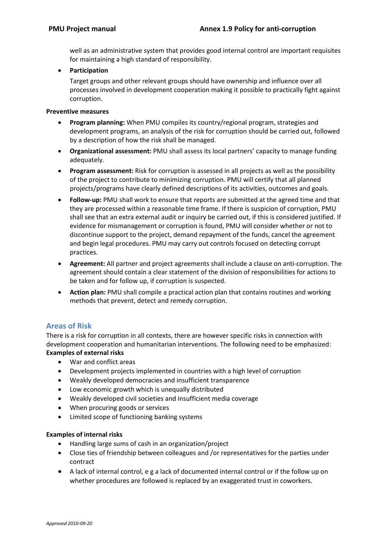well as an administrative system that provides good internal control are important requisites for maintaining a high standard of responsibility.

**•** Participation

Target groups and other relevant groups should have ownership and influence over all processes involved in development cooperation making it possible to practically fight against corruption.

#### Preventive measures

- Program planning: When PMU compiles its country/regional program, strategies and development programs, an analysis of the risk for corruption should be carried out, followed by a description of how the risk shall be managed.
- Organizational assessment: PMU shall assess its local partners' capacity to manage funding adequately.
- Program assessment: Risk for corruption is assessed in all projects as well as the possibility of the project to contribute to minimizing corruption. PMU will certify that all planned projects/programs have clearly defined descriptions of its activities, outcomes and goals.
- Follow-up: PMU shall work to ensure that reports are submitted at the agreed time and that they are processed within a reasonable time frame. If there is suspicion of corruption, PMU shall see that an extra external audit or inquiry be carried out, if this is considered justified. If evidence for mismanagement or corruption is found, PMU will consider whether or not to discontinue support to the project, demand repayment of the funds, cancel the agreement and begin legal procedures. PMU may carry out controls focused on detecting corrupt practices.
- Agreement: All partner and project agreements shall include a clause on anti-corruption. The agreement should contain a clear statement of the division of responsibilities for actions to be taken and for follow up, if corruption is suspected.
- Action plan: PMU shall compile a practical action plan that contains routines and working methods that prevent, detect and remedy corruption.

## Areas of Risk

There is a risk for corruption in all contexts, there are however specific risks in connection with development cooperation and humanitarian interventions. The following need to be emphasized:

## Examples of external risks

- War and conflict areas
- Development projects implemented in countries with a high level of corruption
- Weakly developed democracies and insufficient transparence
- Low economic growth which is unequally distributed
- Weakly developed civil societies and insufficient media coverage
- When procuring goods or services
- Limited scope of functioning banking systems

#### Examples of internal risks

- Handling large sums of cash in an organization/project
- Close ties of friendship between colleagues and /or representatives for the parties under contract
- A lack of internal control, e g a lack of documented internal control or if the follow up on whether procedures are followed is replaced by an exaggerated trust in coworkers.